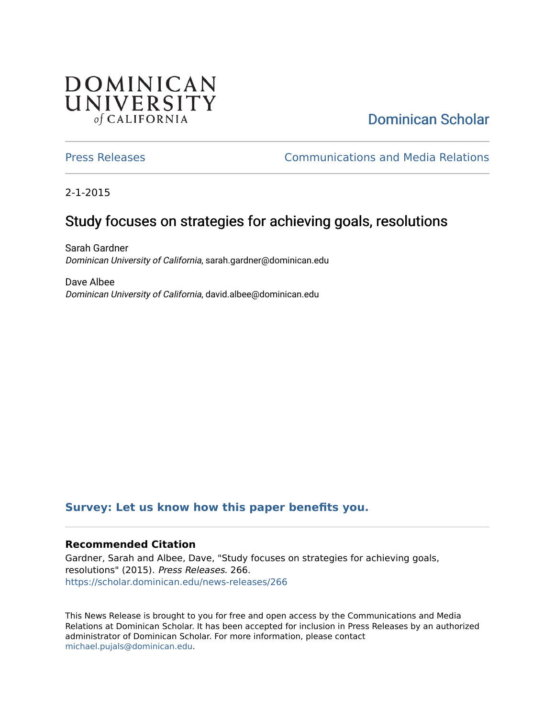# **DOMINICAN** UNIVERSITY of CALIFORNIA

# [Dominican Scholar](https://scholar.dominican.edu/)

[Press Releases](https://scholar.dominican.edu/news-releases) [Communications and Media Relations](https://scholar.dominican.edu/communications-media) 

2-1-2015

# Study focuses on strategies for achieving goals, resolutions

Sarah Gardner Dominican University of California, sarah.gardner@dominican.edu

Dave Albee Dominican University of California, david.albee@dominican.edu

#### **[Survey: Let us know how this paper benefits you.](https://dominican.libwizard.com/dominican-scholar-feedback)**

#### **Recommended Citation**

Gardner, Sarah and Albee, Dave, "Study focuses on strategies for achieving goals, resolutions" (2015). Press Releases. 266. [https://scholar.dominican.edu/news-releases/266](https://scholar.dominican.edu/news-releases/266?utm_source=scholar.dominican.edu%2Fnews-releases%2F266&utm_medium=PDF&utm_campaign=PDFCoverPages)

This News Release is brought to you for free and open access by the Communications and Media Relations at Dominican Scholar. It has been accepted for inclusion in Press Releases by an authorized administrator of Dominican Scholar. For more information, please contact [michael.pujals@dominican.edu.](mailto:michael.pujals@dominican.edu)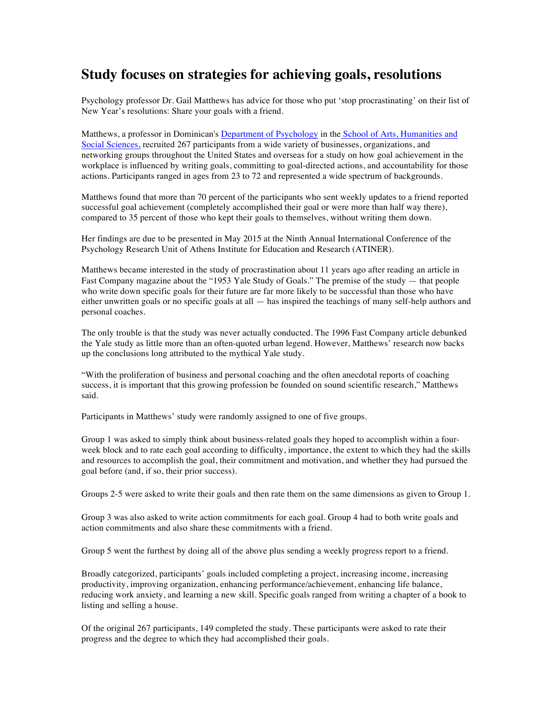### **Study focuses on strategies for achieving goals, resolutions**

Psychology professor Dr. Gail Matthews has advice for those who put 'stop procrastinating' on their list of New Year's resolutions: Share your goals with a friend.

Matthews, a professor in Dominican's Department of Psychology in the School of Arts, Humanities and Social Sciences, recruited 267 participants from a wide variety of businesses, organizations, and networking groups throughout the United States and overseas for a study on how goal achievement in the workplace is influenced by writing goals, committing to goal-directed actions, and accountability for those actions. Participants ranged in ages from 23 to 72 and represented a wide spectrum of backgrounds.

Matthews found that more than 70 percent of the participants who sent weekly updates to a friend reported successful goal achievement (completely accomplished their goal or were more than half way there), compared to 35 percent of those who kept their goals to themselves, without writing them down.

Her findings are due to be presented in May 2015 at the Ninth Annual International Conference of the Psychology Research Unit of Athens Institute for Education and Research (ATINER).

Matthews became interested in the study of procrastination about 11 years ago after reading an article in Fast Company magazine about the "1953 Yale Study of Goals." The premise of the study — that people who write down specific goals for their future are far more likely to be successful than those who have either unwritten goals or no specific goals at all — has inspired the teachings of many self-help authors and personal coaches.

The only trouble is that the study was never actually conducted. The 1996 Fast Company article debunked the Yale study as little more than an often-quoted urban legend. However, Matthews' research now backs up the conclusions long attributed to the mythical Yale study.

"With the proliferation of business and personal coaching and the often anecdotal reports of coaching success, it is important that this growing profession be founded on sound scientific research," Matthews said.

Participants in Matthews' study were randomly assigned to one of five groups.

Group 1 was asked to simply think about business-related goals they hoped to accomplish within a fourweek block and to rate each goal according to difficulty, importance, the extent to which they had the skills and resources to accomplish the goal, their commitment and motivation, and whether they had pursued the goal before (and, if so, their prior success).

Groups 2-5 were asked to write their goals and then rate them on the same dimensions as given to Group 1.

Group 3 was also asked to write action commitments for each goal. Group 4 had to both write goals and action commitments and also share these commitments with a friend.

Group 5 went the furthest by doing all of the above plus sending a weekly progress report to a friend.

Broadly categorized, participants' goals included completing a project, increasing income, increasing productivity, improving organization, enhancing performance/achievement, enhancing life balance, reducing work anxiety, and learning a new skill. Specific goals ranged from writing a chapter of a book to listing and selling a house.

Of the original 267 participants, 149 completed the study. These participants were asked to rate their progress and the degree to which they had accomplished their goals.